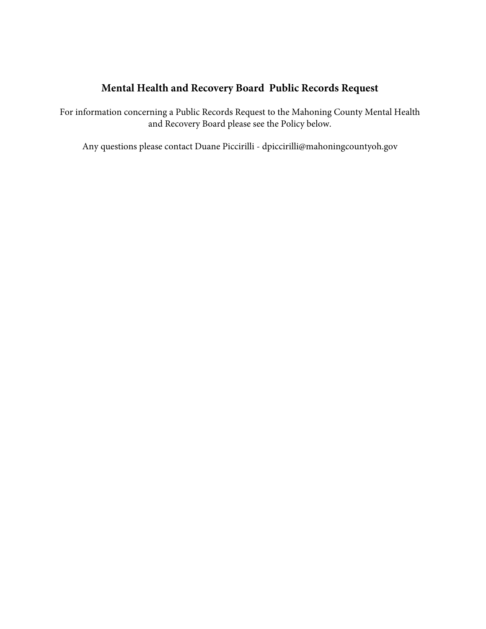## **Mental Health and Recovery Board Public Records Request**

For information concerning a Public Records Request to the Mahoning County Mental Health and Recovery Board please see the Policy below.

Any questions please contact Duane Picc[irilli - dpiccirilli@mahoningcountyoh.g](mailto:dpiccirilli@mahoningcountyoh.gov)ov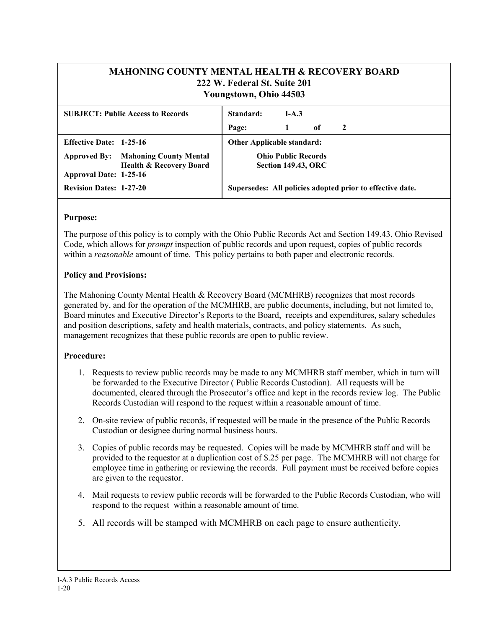| <b>MAHONING COUNTY MENTAL HEALTH &amp; RECOVERY BOARD</b>                                                                           | 222 W. Federal St. Suite 201<br>Youngstown, Ohio 44503 |      |    |  |  |
|-------------------------------------------------------------------------------------------------------------------------------------|--------------------------------------------------------|------|----|--|--|
| <b>SUBJECT: Public Access to Records</b>                                                                                            | Standard:                                              | IA.3 |    |  |  |
|                                                                                                                                     | Page:                                                  |      | of |  |  |
| $\mathbf{Fff}_{\text{out}}$ $\mathbf{D}_{\text{out}}$ $\mathbf{A}$ $\mathbf{A}$ $\mathbf{A}$ $\mathbf{A}$ $\mathbf{A}$ $\mathbf{A}$ | Othan Annliachla standaud.                             |      |    |  |  |

| <b>Effective Date: 1-25-16</b> |                                                                                  | <b>Other Applicable standard:</b>                         |
|--------------------------------|----------------------------------------------------------------------------------|-----------------------------------------------------------|
|                                | <b>Approved By:</b> Mahoning County Mental<br><b>Health &amp; Recovery Board</b> | <b>Ohio Public Records</b><br><b>Section 149.43, ORC</b>  |
| Approval Date: 1-25-16         |                                                                                  |                                                           |
| <b>Revision Dates: 1-27-20</b> |                                                                                  | Supersedes: All policies adopted prior to effective date. |

## **Purpose:**

The purpose of this policy is to comply with the Ohio Public Records Act and Section 149.43, Ohio Revised Code, which allows for *prompt* inspection of public records and upon request, copies of public records within a *reasonable* amount of time. This policy pertains to both paper and electronic records.

## **Policy and Provisions:**

The Mahoning County Mental Health & Recovery Board (MCMHRB) recognizes that most records generated by, and for the operation of the MCMHRB, are public documents, including, but not limited to, Board minutes and Executive Director's Reports to the Board, receipts and expenditures, salary schedules and position descriptions, safety and health materials, contracts, and policy statements. As such, management recognizes that these public records are open to public review.

## **Procedure:**

- 1. Requests to review public records may be made to any MCMHRB staff member, which in turn will be forwarded to the Executive Director ( Public Records Custodian). All requests will be documented, cleared through the Prosecutor's office and kept in the records review log. The Public Records Custodian will respond to the request within a reasonable amount of time.
- 2. On-site review of public records, if requested will be made in the presence of the Public Records Custodian or designee during normal business hours.
- 3. Copies of public records may be requested. Copies will be made by MCMHRB staff and will be provided to the requestor at a duplication cost of \$.25 per page. The MCMHRB will not charge for employee time in gathering or reviewing the records. Full payment must be received before copies are given to the requestor.
- 4. Mail requests to review public records will be forwarded to the Public Records Custodian, who will respond to the request within a reasonable amount of time.
- 5. All records will be stamped with MCMHRB on each page to ensure authenticity.